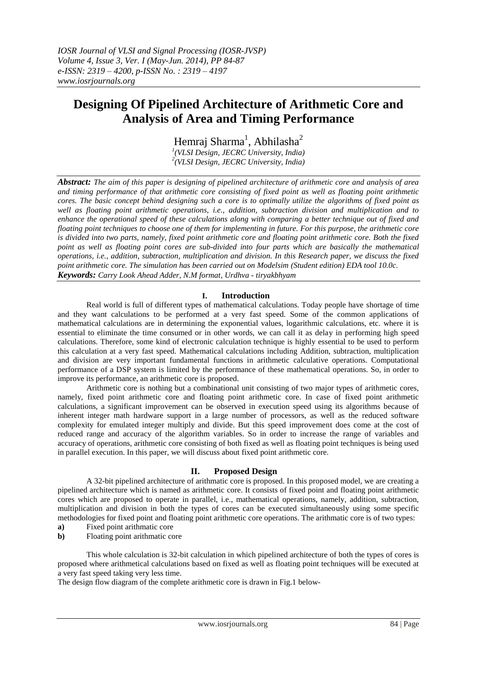# **Designing Of Pipelined Architecture of Arithmetic Core and Analysis of Area and Timing Performance**

Hemraj Sharma<sup>1</sup>, Abhilasha<sup>2</sup>

*1 (VLSI Design, JECRC University, India) 2 (VLSI Design, JECRC University, India)*

*Abstract: The aim of this paper is designing of pipelined architecture of arithmetic core and analysis of area and timing performance of that arithmetic core consisting of fixed point as well as floating point arithmetic cores. The basic concept behind designing such a core is to optimally utilize the algorithms of fixed point as well as floating point arithmetic operations, i.e., addition, subtraction division and multiplication and to enhance the operational speed of these calculations along with comparing a better technique out of fixed and floating point techniques to choose one of them for implementing in future. For this purpose, the arithmetic core is divided into two parts, namely, fixed point arithmetic core and floating point arithmetic core. Both the fixed point as well as floating point cores are sub-divided into four parts which are basically the mathematical operations, i.e., addition, subtraction, multiplication and division. In this Research paper, we discuss the fixed point arithmetic core. The simulation has been carried out on Modelsim (Student edition) EDA tool 10.0c. Keywords: Carry Look Ahead Adder, N.M format, Urdhva - tiryakbhyam*

# **I. Introduction**

Real world is full of different types of mathematical calculations. Today people have shortage of time and they want calculations to be performed at a very fast speed. Some of the common applications of mathematical calculations are in determining the exponential values, logarithmic calculations, etc. where it is essential to eliminate the time consumed or in other words, we can call it as delay in performing high speed calculations. Therefore, some kind of electronic calculation technique is highly essential to be used to perform this calculation at a very fast speed. Mathematical calculations including Addition, subtraction, multiplication and division are very important fundamental functions in arithmetic calculative operations. Computational performance of a DSP system is limited by the performance of these mathematical operations. So, in order to improve its performance, an arithmetic core is proposed.

Arithmetic core is nothing but a combinational unit consisting of two major types of arithmetic cores, namely, fixed point arithmetic core and floating point arithmetic core. In case of fixed point arithmetic calculations, a significant improvement can be observed in execution speed using its algorithms because of inherent integer math hardware support in a large number of processors, as well as the reduced software complexity for emulated integer multiply and divide. But this speed improvement does come at the cost of reduced range and accuracy of the algorithm variables. So in order to increase the range of variables and accuracy of operations, arithmetic core consisting of both fixed as well as floating point techniques is being used in parallel execution. In this paper, we will discuss about fixed point arithmetic core.

# **II. Proposed Design**

A 32-bit pipelined architecture of arithmatic core is proposed. In this proposed model, we are creating a pipelined architecture which is named as arithmetic core. It consists of fixed point and floating point arithmetic cores which are proposed to operate in parallel, i.e., mathematical operations, namely, addition, subtraction, multiplication and division in both the types of cores can be executed simultaneously using some specific methodologies for fixed point and floating point arithmetic core operations. The arithmatic core is of two types:

- **a)** Fixed point arithmatic core
- **b**) Floating point arithmatic core

This whole calculation is 32-bit calculation in which pipelined architecture of both the types of cores is proposed where arithmetical calculations based on fixed as well as floating point techniques will be executed at a very fast speed taking very less time.

The design flow diagram of the complete arithmetic core is drawn in Fig.1 below-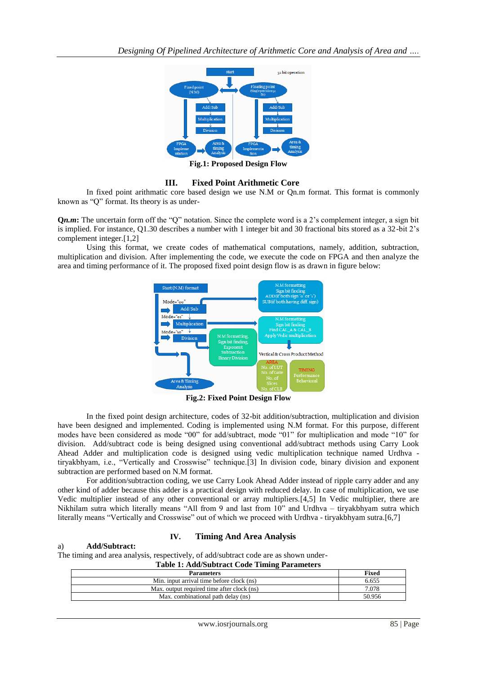

**Fig.1: Proposed Design Flow**

## **III. Fixed Point Arithmetic Core**

In fixed point arithmatic core based design we use N.M or Qn.m format. This format is commonly known as "Q" format. Its theory is as under-

**Q***n.m***:** The uncertain form off the "Q" notation. Since the complete word is a 2's complement integer, a sign bit is implied. For instance, Q1.30 describes a number with 1 integer bit and 30 fractional bits stored as a 32-bit 2's complement integer.[1,2]

Using this format, we create codes of mathematical computations, namely, addition, subtraction, multiplication and division. After implementing the code, we execute the code on FPGA and then analyze the area and timing performance of it. The proposed fixed point design flow is as drawn in figure below:



**Fig.2: Fixed Point Design Flow**

In the fixed point design architecture, codes of 32-bit addition/subtraction, multiplication and division have been designed and implemented. Coding is implemented using N.M format. For this purpose, different modes have been considered as mode "00" for add/subtract, mode "01" for multiplication and mode "10" for division. Add/subtract code is being designed using conventional add/subtract methods using Carry Look Ahead Adder and multiplication code is designed using vedic multiplication technique named Urdhva tiryakbhyam, i.e., "Vertically and Crosswise" technique.[3] In division code, binary division and exponent subtraction are performed based on N.M format.

For addition/subtraction coding, we use Carry Look Ahead Adder instead of ripple carry adder and any other kind of adder because this adder is a practical design with reduced delay. In case of multiplication, we use Vedic multiplier instead of any other conventional or array multipliers.[4,5] In Vedic multiplier, there are Nikhilam sutra which literally means "All from 9 and last from 10" and Urdhva – tiryakbhyam sutra which literally means "Vertically and Crosswise" out of which we proceed with Urdhva - tiryakbhyam sutra.[6,7]

## **IV. Timing And Area Analysis**

## a) **Add/Subtract:**

The timing and area analysis, respectively, of add/subtract code are as shown under-

**Table 1: Add/Subtract Code Timing Parameters**

| <b>Parameters</b>                          | Fixed  |
|--------------------------------------------|--------|
| Min. input arrival time before clock (ns)  | 6.655  |
| Max, output required time after clock (ns) | 7.078  |
| Max. combinational path delay (ns)         | 50.956 |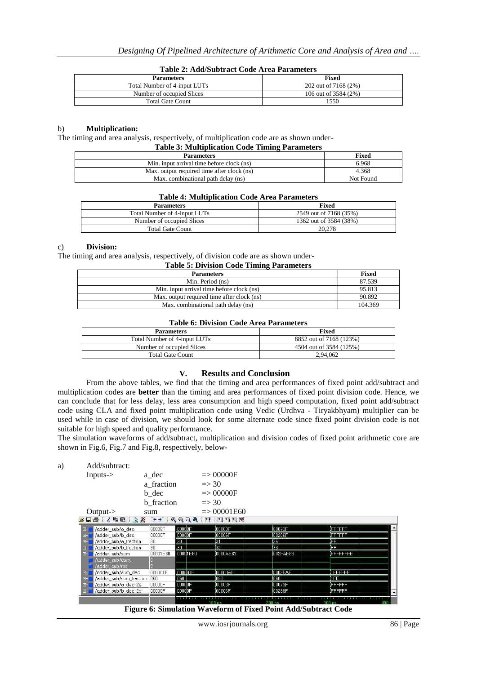|  | Table 2: Add/Subtract Code Area Parameters |  |  |
|--|--------------------------------------------|--|--|
|--|--------------------------------------------|--|--|

| <b>Parameters</b>            | Fixed                |
|------------------------------|----------------------|
| Total Number of 4-input LUTs | 202 out of 7168 (2%) |
| Number of occupied Slices    | 106 out of 3584 (2%) |
| <b>Total Gate Count</b>      | 1550                 |

## b) **Multiplication:**

The timing and area analysis, respectively, of multiplication code are as shown under-

| <b>Table 3: Multiplication Code Timing Parameters</b> |  |  |
|-------------------------------------------------------|--|--|
|-------------------------------------------------------|--|--|

| <b>Parameters</b>                          | <b>Fixed</b> |
|--------------------------------------------|--------------|
| Min. input arrival time before clock (ns)  | 6.968        |
| Max. output required time after clock (ns) | 4.368        |
| Max. combinational path delay (ns)         | Not Found    |

#### **Table 4: Multiplication Code Area Parameters**

| <b>Parameters</b>            | <b>Fixed</b>           |
|------------------------------|------------------------|
| Total Number of 4-input LUTs | 2549 out of 7168 (35%) |
| Number of occupied Slices    | 1362 out of 3584 (38%) |
| <b>Total Gate Count</b>      | 20.278                 |

#### c) **Division:**

The timing and area analysis, respectively, of division code are as shown under-<br> $\frac{1}{2}$ **Table 5: Division Code Timing Parameters**

| <b>Table 5: Division Code Timing Parameters</b> |         |  |  |  |  |
|-------------------------------------------------|---------|--|--|--|--|
| <b>Parameters</b>                               | Fixed   |  |  |  |  |
| Min. Period (ns)                                | 87.539  |  |  |  |  |
| Min. input arrival time before clock (ns)       | 95.813  |  |  |  |  |
| Max, output required time after clock (ns)      | 90.892  |  |  |  |  |
| Max. combinational path delay (ns)              | 104.369 |  |  |  |  |

#### **Table 6: Division Code Area Parameters**

| <b>Parameters</b>            | <b>Fixed</b>            |
|------------------------------|-------------------------|
| Total Number of 4-input LUTs | 8852 out of 7168 (123%) |
| Number of occupied Slices    | 4504 out of 3584 (125%) |
| <b>Total Gate Count</b>      | 2.94.062                |

## **V. Results and Conclusion**

From the above tables, we find that the timing and area performances of fixed point add/subtract and multiplication codes are **better** than the timing and area performances of fixed point division code. Hence, we can conclude that for less delay, less area consumption and high speed computation, fixed point add/subtract code using CLA and fixed point multiplication code using Vedic (Urdhva - Tiryakbhyam) multiplier can be used while in case of division, we should look for some alternate code since fixed point division code is not suitable for high speed and quality performance.

The simulation waveforms of add/subtract, multiplication and division codes of fixed point arithmetic core are shown in Fig.6, Fig.7 and Fig.8, respectively, below-

|          | Add/subtract:           |                   |          |                        |          |                 |  |
|----------|-------------------------|-------------------|----------|------------------------|----------|-----------------|--|
|          | $InputStream>-$         | a dec             |          | $\Rightarrow$ 00000F   |          |                 |  |
|          |                         | a fraction        |          | $\Rightarrow$ 30       |          |                 |  |
|          |                         | b dec             |          | $\Rightarrow$ 00000F   |          |                 |  |
|          |                         | <b>b</b> fraction |          | $\Rightarrow$ 30       |          |                 |  |
|          | Output- $>$             | sum               |          | $\Rightarrow 00001E60$ |          |                 |  |
|          |                         |                   |          |                        |          |                 |  |
|          |                         |                   |          |                        |          |                 |  |
| $E-1$    | /adder_sub/a_dec        | 00000F            | 00000F   | 100003F                | 00073F   | <b>FEFEFE</b>   |  |
| $\Box$   | /adder_sub/b_dec        | 00000F            | 00000F   | 00006F                 | 00286F   | EEEEEE          |  |
| 田-1      | /adder_sub/a_fraction   | 30                | 30       | 31                     | 135      | ÍFF             |  |
| $E-$     | /adder_sub/b_fraction   | 30                | 30       | 32                     | l33      | ſΕ              |  |
| $F^{-1}$ | /adder_sub/sum          | 00001E60          | 00001E60 | 0000AE63               | 002FAE68 | <b>EFFEFFFE</b> |  |
|          | /adder_sub/carry        |                   |          |                        |          |                 |  |
|          | /adder sub/res          |                   |          |                        |          |                 |  |
| $E-$     | /adder_sub/sum_dec      | 000001E           | 000001E  | 00000AE                | 0002FAE  | <b>OFFICERS</b> |  |
| F        | /adder_sub/sum_fraction | 060               | 1060     | 1063.                  | 830)     | 1 FE            |  |
| $E-$     | /adder_sub/a_dec_2s     | 00000F            | 00000F   | 00003F                 | 00073F   | <b>IFFFFFFF</b> |  |

**Figure 6: Simulation Waveform of Fixed Point Add/Subtract Code**